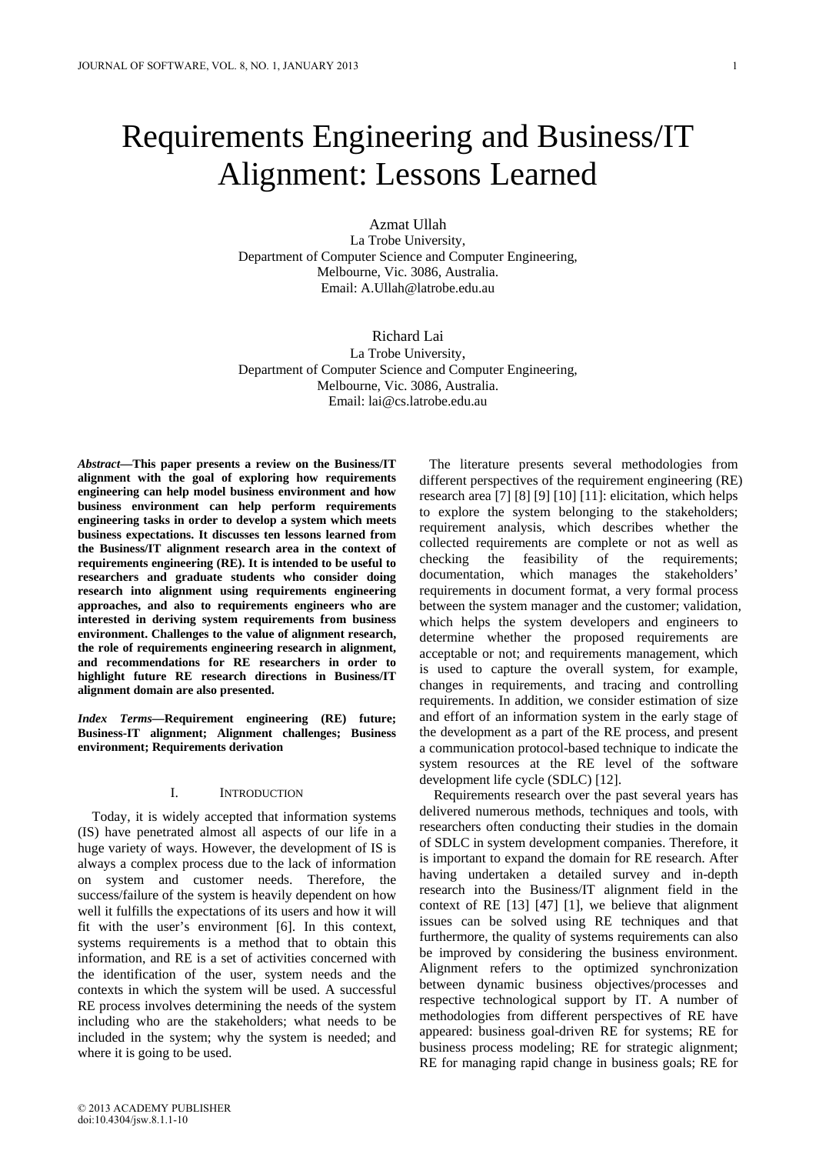# Requirements Engineering and Business/IT Alignment: Lessons Learned

Azmat Ullah La Trobe University, Department of Computer Science and Computer Engineering, Melbourne, Vic. 3086, Australia. Email: A.Ullah@latrobe.edu.au

Richard Lai La Trobe University, Department of Computer Science and Computer Engineering, Melbourne, Vic. 3086, Australia. Email: lai@cs.latrobe.edu.au

*Abstract***—This paper presents a review on the Business/IT alignment with the goal of exploring how requirements engineering can help model business environment and how business environment can help perform requirements engineering tasks in order to develop a system which meets business expectations. It discusses ten lessons learned from the Business/IT alignment research area in the context of requirements engineering (RE). It is intended to be useful to researchers and graduate students who consider doing research into alignment using requirements engineering approaches, and also to requirements engineers who are interested in deriving system requirements from business environment. Challenges to the value of alignment research, the role of requirements engineering research in alignment, and recommendations for RE researchers in order to highlight future RE research directions in Business/IT alignment domain are also presented.** 

*Index Terms***—Requirement engineering (RE) future; Business-IT alignment; Alignment challenges; Business environment; Requirements derivation** 

## I. INTRODUCTION

Today, it is widely accepted that information systems (IS) have penetrated almost all aspects of our life in a huge variety of ways. However, the development of IS is always a complex process due to the lack of information on system and customer needs. Therefore, the success/failure of the system is heavily dependent on how well it fulfills the expectations of its users and how it will fit with the user's environment [6]. In this context, systems requirements is a method that to obtain this information, and RE is a set of activities concerned with the identification of the user, system needs and the contexts in which the system will be used. A successful RE process involves determining the needs of the system including who are the stakeholders; what needs to be included in the system; why the system is needed; and where it is going to be used.

The literature presents several methodologies from different perspectives of the requirement engineering (RE) research area [7] [8] [9] [10] [11]: elicitation, which helps to explore the system belonging to the stakeholders; requirement analysis, which describes whether the collected requirements are complete or not as well as checking the feasibility of the requirements; documentation, which manages the stakeholders' requirements in document format, a very formal process between the system manager and the customer; validation, which helps the system developers and engineers to determine whether the proposed requirements are acceptable or not; and requirements management, which is used to capture the overall system, for example, changes in requirements, and tracing and controlling requirements. In addition, we consider estimation of size and effort of an information system in the early stage of the development as a part of the RE process, and present a communication protocol-based technique to indicate the system resources at the RE level of the software development life cycle (SDLC) [12].

Requirements research over the past several years has delivered numerous methods, techniques and tools, with researchers often conducting their studies in the domain of SDLC in system development companies. Therefore, it is important to expand the domain for RE research. After having undertaken a detailed survey and in-depth research into the Business/IT alignment field in the context of RE [13] [47] [1], we believe that alignment issues can be solved using RE techniques and that furthermore, the quality of systems requirements can also be improved by considering the business environment. Alignment refers to the optimized synchronization between dynamic business objectives/processes and respective technological support by IT. A number of methodologies from different perspectives of RE have appeared: business goal-driven RE for systems; RE for business process modeling; RE for strategic alignment; RE for managing rapid change in business goals; RE for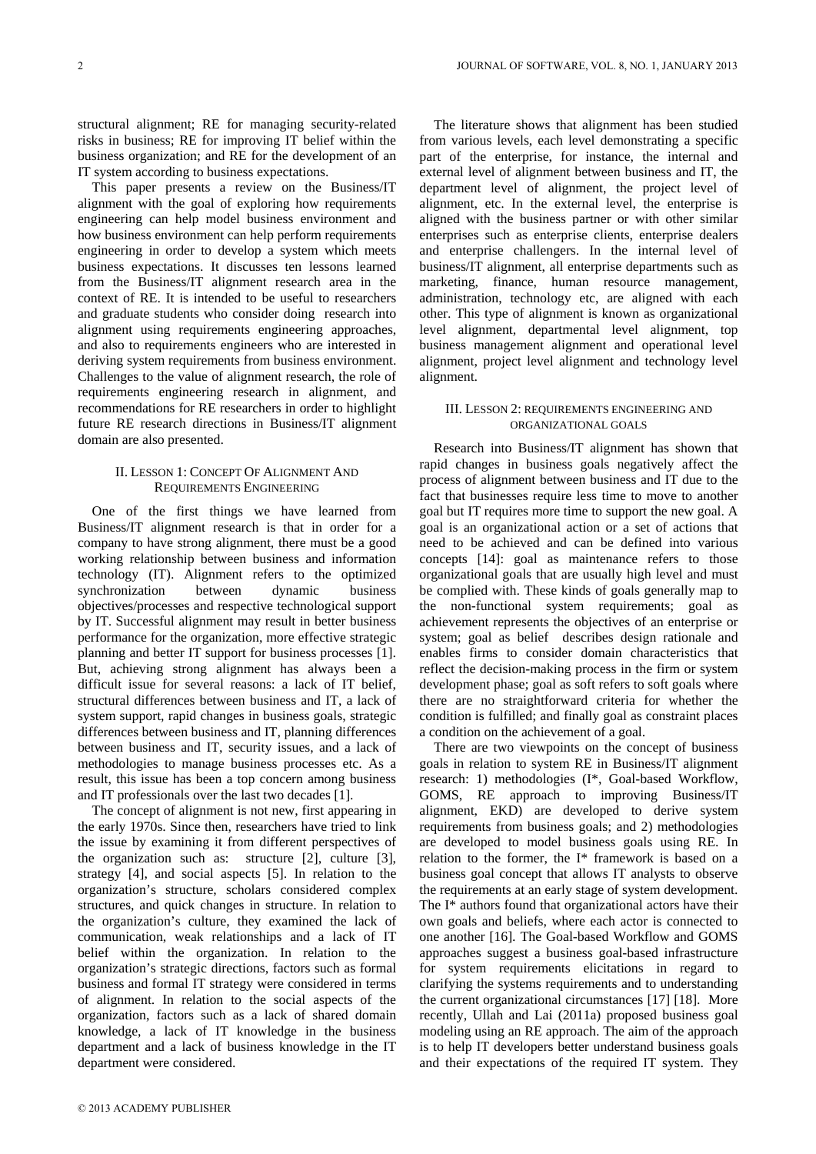structural alignment; RE for managing security-related risks in business; RE for improving IT belief within the business organization; and RE for the development of an IT system according to business expectations.

This paper presents a review on the Business/IT alignment with the goal of exploring how requirements engineering can help model business environment and how business environment can help perform requirements engineering in order to develop a system which meets business expectations. It discusses ten lessons learned from the Business/IT alignment research area in the context of RE. It is intended to be useful to researchers and graduate students who consider doing research into alignment using requirements engineering approaches, and also to requirements engineers who are interested in deriving system requirements from business environment. Challenges to the value of alignment research, the role of requirements engineering research in alignment, and recommendations for RE researchers in order to highlight future RE research directions in Business/IT alignment domain are also presented.

## II. LESSON 1: CONCEPT OF ALIGNMENT AND REQUIREMENTS ENGINEERING

One of the first things we have learned from Business/IT alignment research is that in order for a company to have strong alignment, there must be a good working relationship between business and information technology (IT). Alignment refers to the optimized synchronization between dynamic business objectives/processes and respective technological support by IT. Successful alignment may result in better business performance for the organization, more effective strategic planning and better IT support for business processes [1]. But, achieving strong alignment has always been a difficult issue for several reasons: a lack of IT belief, structural differences between business and IT, a lack of system support, rapid changes in business goals, strategic differences between business and IT, planning differences between business and IT, security issues, and a lack of methodologies to manage business processes etc. As a result, this issue has been a top concern among business and IT professionals over the last two decades [1].

The concept of alignment is not new, first appearing in the early 1970s. Since then, researchers have tried to link the issue by examining it from different perspectives of the organization such as: structure [2], culture [3], strategy [4], and social aspects [5]. In relation to the organization's structure, scholars considered complex structures, and quick changes in structure. In relation to the organization's culture, they examined the lack of communication, weak relationships and a lack of IT belief within the organization. In relation to the organization's strategic directions, factors such as formal business and formal IT strategy were considered in terms of alignment. In relation to the social aspects of the organization, factors such as a lack of shared domain knowledge, a lack of IT knowledge in the business department and a lack of business knowledge in the IT department were considered.

The literature shows that alignment has been studied from various levels, each level demonstrating a specific part of the enterprise, for instance, the internal and external level of alignment between business and IT, the department level of alignment, the project level of alignment, etc. In the external level, the enterprise is aligned with the business partner or with other similar enterprises such as enterprise clients, enterprise dealers and enterprise challengers. In the internal level of business/IT alignment, all enterprise departments such as marketing, finance, human resource management, administration, technology etc, are aligned with each other. This type of alignment is known as organizational level alignment, departmental level alignment, top business management alignment and operational level alignment, project level alignment and technology level alignment.

## III. LESSON 2: REQUIREMENTS ENGINEERING AND ORGANIZATIONAL GOALS

Research into Business/IT alignment has shown that rapid changes in business goals negatively affect the process of alignment between business and IT due to the fact that businesses require less time to move to another goal but IT requires more time to support the new goal. A goal is an organizational action or a set of actions that need to be achieved and can be defined into various concepts [14]: goal as maintenance refers to those organizational goals that are usually high level and must be complied with. These kinds of goals generally map to the non-functional system requirements; goal as achievement represents the objectives of an enterprise or system; goal as belief describes design rationale and enables firms to consider domain characteristics that reflect the decision-making process in the firm or system development phase; goal as soft refers to soft goals where there are no straightforward criteria for whether the condition is fulfilled; and finally goal as constraint places a condition on the achievement of a goal.

There are two viewpoints on the concept of business goals in relation to system RE in Business/IT alignment research: 1) methodologies (I\*, Goal-based Workflow, GOMS, RE approach to improving Business/IT alignment, EKD) are developed to derive system requirements from business goals; and 2) methodologies are developed to model business goals using RE. In relation to the former, the I\* framework is based on a business goal concept that allows IT analysts to observe the requirements at an early stage of system development. The I\* authors found that organizational actors have their own goals and beliefs, where each actor is connected to one another [16]. The Goal-based Workflow and GOMS approaches suggest a business goal-based infrastructure for system requirements elicitations in regard to clarifying the systems requirements and to understanding the current organizational circumstances [17] [18]. More recently, Ullah and Lai (2011a) proposed business goal modeling using an RE approach. The aim of the approach is to help IT developers better understand business goals and their expectations of the required IT system. They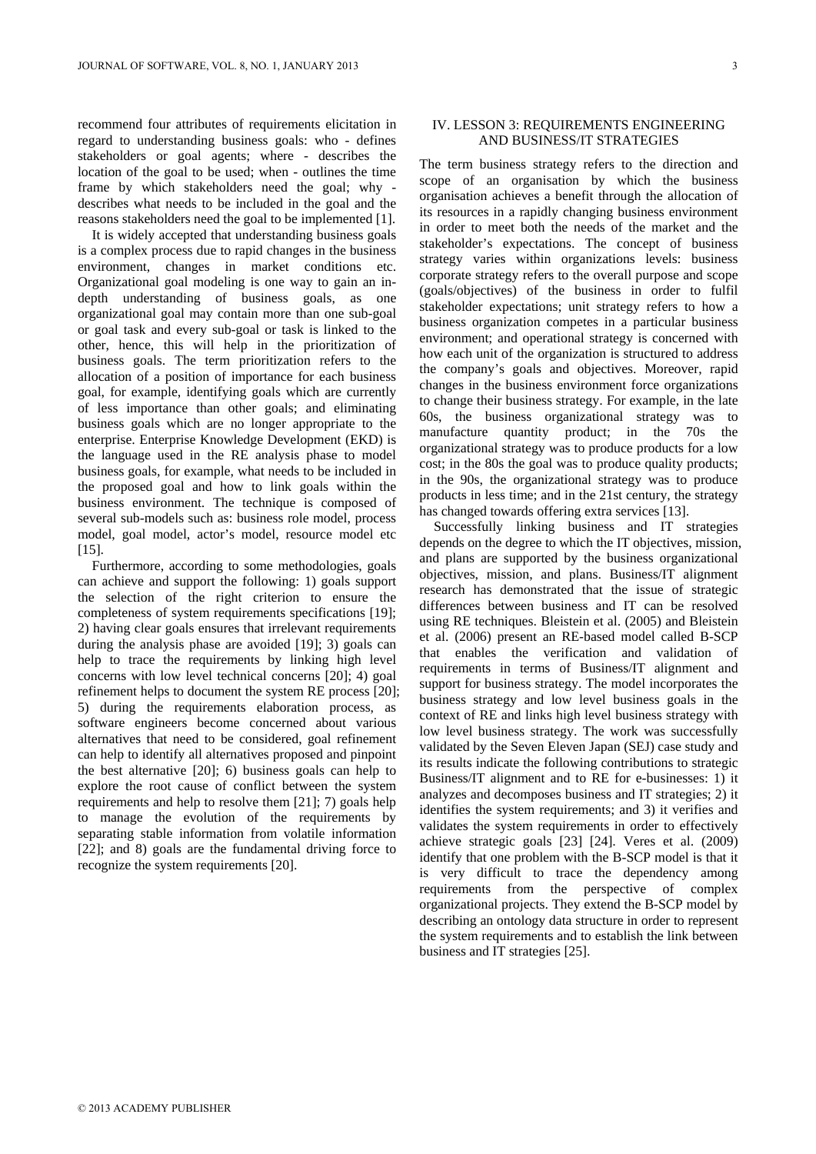recommend four attributes of requirements elicitation in regard to understanding business goals: who - defines stakeholders or goal agents; where - describes the location of the goal to be used; when - outlines the time frame by which stakeholders need the goal; why describes what needs to be included in the goal and the reasons stakeholders need the goal to be implemented [1].

It is widely accepted that understanding business goals is a complex process due to rapid changes in the business environment, changes in market conditions etc. Organizational goal modeling is one way to gain an indepth understanding of business goals, as one organizational goal may contain more than one sub-goal or goal task and every sub-goal or task is linked to the other, hence, this will help in the prioritization of business goals. The term prioritization refers to the allocation of a position of importance for each business goal, for example, identifying goals which are currently of less importance than other goals; and eliminating business goals which are no longer appropriate to the enterprise. Enterprise Knowledge Development (EKD) is the language used in the RE analysis phase to model business goals, for example, what needs to be included in the proposed goal and how to link goals within the business environment. The technique is composed of several sub-models such as: business role model, process model, goal model, actor's model, resource model etc [15].

Furthermore, according to some methodologies, goals can achieve and support the following: 1) goals support the selection of the right criterion to ensure the completeness of system requirements specifications [19]; 2) having clear goals ensures that irrelevant requirements during the analysis phase are avoided [19]; 3) goals can help to trace the requirements by linking high level concerns with low level technical concerns [20]; 4) goal refinement helps to document the system RE process [20]; 5) during the requirements elaboration process, as software engineers become concerned about various alternatives that need to be considered, goal refinement can help to identify all alternatives proposed and pinpoint the best alternative [20]; 6) business goals can help to explore the root cause of conflict between the system requirements and help to resolve them [21]; 7) goals help to manage the evolution of the requirements by separating stable information from volatile information [22]; and 8) goals are the fundamental driving force to recognize the system requirements [20].

The term business strategy refers to the direction and scope of an organisation by which the business organisation achieves a benefit through the allocation of its resources in a rapidly changing business environment in order to meet both the needs of the market and the stakeholder's expectations. The concept of business strategy varies within organizations levels: business corporate strategy refers to the overall purpose and scope (goals/objectives) of the business in order to fulfil stakeholder expectations; unit strategy refers to how a business organization competes in a particular business environment; and operational strategy is concerned with how each unit of the organization is structured to address the company's goals and objectives. Moreover, rapid changes in the business environment force organizations to change their business strategy. For example, in the late 60s, the business organizational strategy was to manufacture quantity product; in the 70s the organizational strategy was to produce products for a low cost; in the 80s the goal was to produce quality products; in the 90s, the organizational strategy was to produce products in less time; and in the 21st century, the strategy has changed towards offering extra services [13].

Successfully linking business and IT strategies depends on the degree to which the IT objectives, mission, and plans are supported by the business organizational objectives, mission, and plans. Business/IT alignment research has demonstrated that the issue of strategic differences between business and IT can be resolved using RE techniques. Bleistein et al. (2005) and Bleistein et al. (2006) present an RE-based model called B-SCP that enables the verification and validation of requirements in terms of Business/IT alignment and support for business strategy. The model incorporates the business strategy and low level business goals in the context of RE and links high level business strategy with low level business strategy. The work was successfully validated by the Seven Eleven Japan (SEJ) case study and its results indicate the following contributions to strategic Business/IT alignment and to RE for e-businesses: 1) it analyzes and decomposes business and IT strategies; 2) it identifies the system requirements; and 3) it verifies and validates the system requirements in order to effectively achieve strategic goals [23] [24]. Veres et al. (2009) identify that one problem with the B-SCP model is that it is very difficult to trace the dependency among requirements from the perspective of complex organizational projects. They extend the B-SCP model by describing an ontology data structure in order to represent the system requirements and to establish the link between business and IT strategies [25].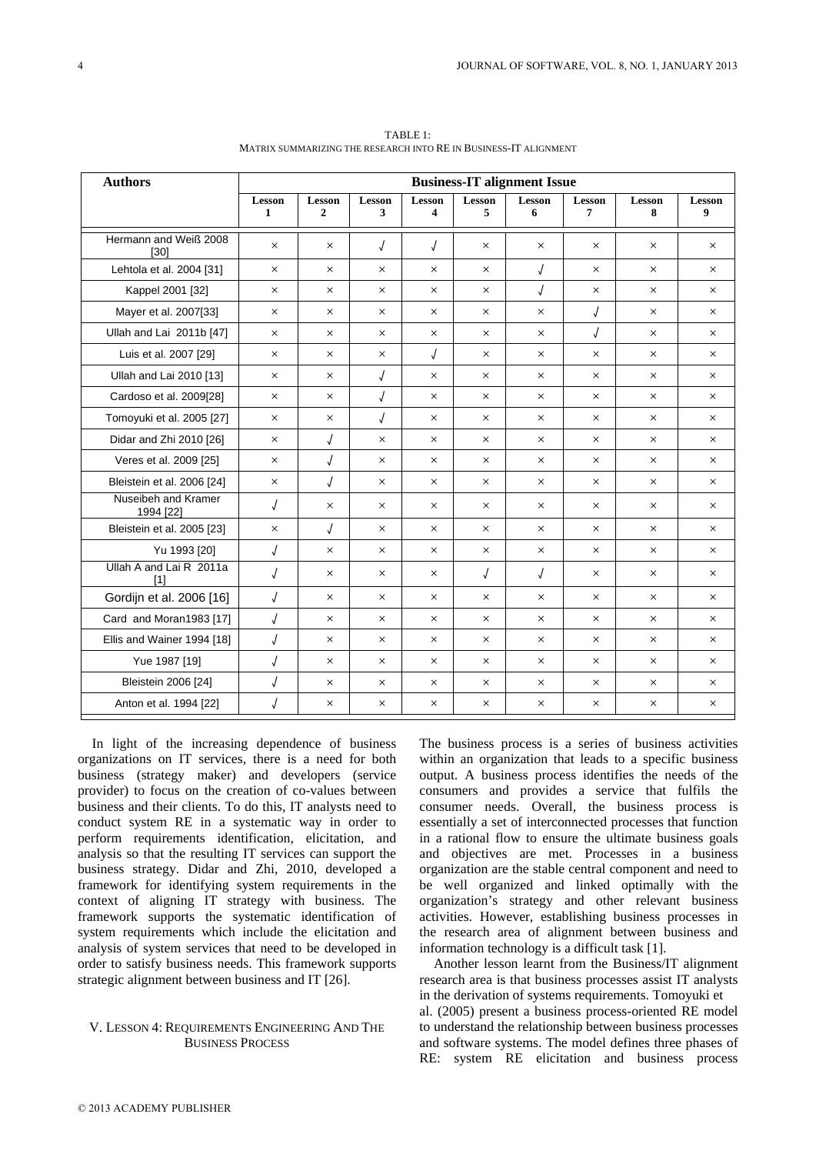| <b>Authors</b>                   | <b>Business-IT alignment Issue</b> |                                 |                    |                    |                    |                    |                    |                    |                    |
|----------------------------------|------------------------------------|---------------------------------|--------------------|--------------------|--------------------|--------------------|--------------------|--------------------|--------------------|
|                                  | <b>Lesson</b><br>1                 | <b>Lesson</b><br>$\overline{2}$ | <b>Lesson</b><br>3 | <b>Lesson</b><br>4 | <b>Lesson</b><br>5 | <b>Lesson</b><br>6 | <b>Lesson</b><br>7 | <b>Lesson</b><br>8 | <b>Lesson</b><br>9 |
| Hermann and Weiß 2008<br>[30]    | $\times$                           | $\times$                        | J                  | J                  | $\times$           | $\times$           | $\times$           | $\times$           | $\times$           |
| Lehtola et al. 2004 [31]         | $\times$                           | $\times$                        | $\times$           | $\times$           | $\times$           | J                  | $\times$           | $\times$           | $\times$           |
| Kappel 2001 [32]                 | $\times$                           | $\times$                        | $\times$           | $\times$           | $\times$           | J                  | $\times$           | $\times$           | $\times$           |
| Mayer et al. 2007[33]            | $\times$                           | $\times$                        | $\times$           | $\times$           | $\times$           | $\times$           | $\sqrt{2}$         | $\times$           | $\times$           |
| Ullah and Lai 2011b [47]         | $\times$                           | $\times$                        | $\times$           | $\times$           | $\times$           | $\times$           | $\sqrt{2}$         | $\times$           | $\times$           |
| Luis et al. 2007 [29]            | $\times$                           | $\times$                        | $\times$           | $\sqrt{ }$         | $\times$           | $\times$           | $\times$           | $\times$           | $\times$           |
| Ullah and Lai 2010 [13]          | $\times$                           | $\times$                        | J                  | $\times$           | $\times$           | $\times$           | $\times$           | $\times$           | $\times$           |
| Cardoso et al. 2009[28]          | $\times$                           | $\times$                        | J                  | $\times$           | $\times$           | $\times$           | $\times$           | $\times$           | $\times$           |
| Tomoyuki et al. 2005 [27]        | $\times$                           | $\times$                        | J                  | $\times$           | $\times$           | $\times$           | $\times$           | $\times$           | $\times$           |
| Didar and Zhi 2010 [26]          | $\times$                           | J                               | $\times$           | $\times$           | $\times$           | $\times$           | $\times$           | $\times$           | $\times$           |
| Veres et al. 2009 [25]           | $\times$                           | J                               | $\times$           | $\times$           | $\times$           | $\times$           | $\times$           | $\times$           | $\times$           |
| Bleistein et al. 2006 [24]       | $\times$                           | J                               | $\times$           | $\times$           | $\times$           | $\times$           | $\times$           | $\times$           | $\times$           |
| Nuseibeh and Kramer<br>1994 [22] | J                                  | $\times$                        | $\times$           | $\times$           | $\times$           | $\times$           | $\times$           | $\times$           | $\times$           |
| Bleistein et al. 2005 [23]       | $\times$                           | J                               | $\times$           | $\times$           | $\times$           | $\times$           | $\times$           | $\times$           | $\times$           |
| Yu 1993 [20]                     | $\sqrt{ }$                         | $\times$                        | $\times$           | $\times$           | $\times$           | $\times$           | $\times$           | $\times$           | $\times$           |
| Ullah A and Lai R 2011a          | $\prime$                           |                                 |                    |                    | $\overline{1}$     | $\overline{ }$     |                    |                    |                    |

 $\begin{array}{c|c|c|c|c|c|c|c|c} \hline \text{all } & \text{all } & \text{all } & \text{all } & \text{all } & \text{all } & \text{all } & \text{all } & \text{all } & \text{all } & \text{all } & \text{all } & \text{all } & \text{all } & \text{all } & \text{all } & \text{all } & \text{all } & \text{all } & \text{all } & \text{all } & \text{all } & \text{all } & \text{all } & \text{all } & \text{all } & \text{all } & \text{all } & \text{all } & \text{all } & \text{all } & \text{all } &$ 

Gordijn et al. 2006 [16] √ × × × × × × × × Card and Moran1983 [17] √ × × × × × × × × Ellis and Wainer 1994 [18] √ × × × × × × × × Yue 1987 [19] √ × × × × × × × × Bleistein 2006 [24] √ × × × × × × × × Anton et al. 1994 [22] √ × × × × × × × ×

TABLE 1: MATRIX SUMMARIZING THE RESEARCH INTO RE IN BUSINESS-IT ALIGNMENT

In light of the increasing dependence of business organizations on IT services, there is a need for both business (strategy maker) and developers (service provider) to focus on the creation of co-values between business and their clients. To do this, IT analysts need to conduct system RE in a systematic way in order to perform requirements identification, elicitation, and analysis so that the resulting IT services can support the business strategy. Didar and Zhi, 2010, developed a framework for identifying system requirements in the context of aligning IT strategy with business. The framework supports the systematic identification of system requirements which include the elicitation and analysis of system services that need to be developed in order to satisfy business needs. This framework supports strategic alignment between business and IT [26].

## V. LESSON 4: REQUIREMENTS ENGINEERING AND THE BUSINESS PROCESS

The business process is a series of business activities within an organization that leads to a specific business output. A business process identifies the needs of the consumers and provides a service that fulfils the consumer needs. Overall, the business process is essentially a set of interconnected processes that function in a rational flow to ensure the ultimate business goals and objectives are met. Processes in a business organization are the stable central component and need to be well organized and linked optimally with the organization's strategy and other relevant business activities. However, establishing business processes in the research area of alignment between business and information technology is a difficult task [1].

Another lesson learnt from the Business/IT alignment research area is that business processes assist IT analysts in the derivation of systems requirements. Tomoyuki et al. (2005) present a business process-oriented RE model to understand the relationship between business processes and software systems. The model defines three phases of RE: system RE elicitation and business process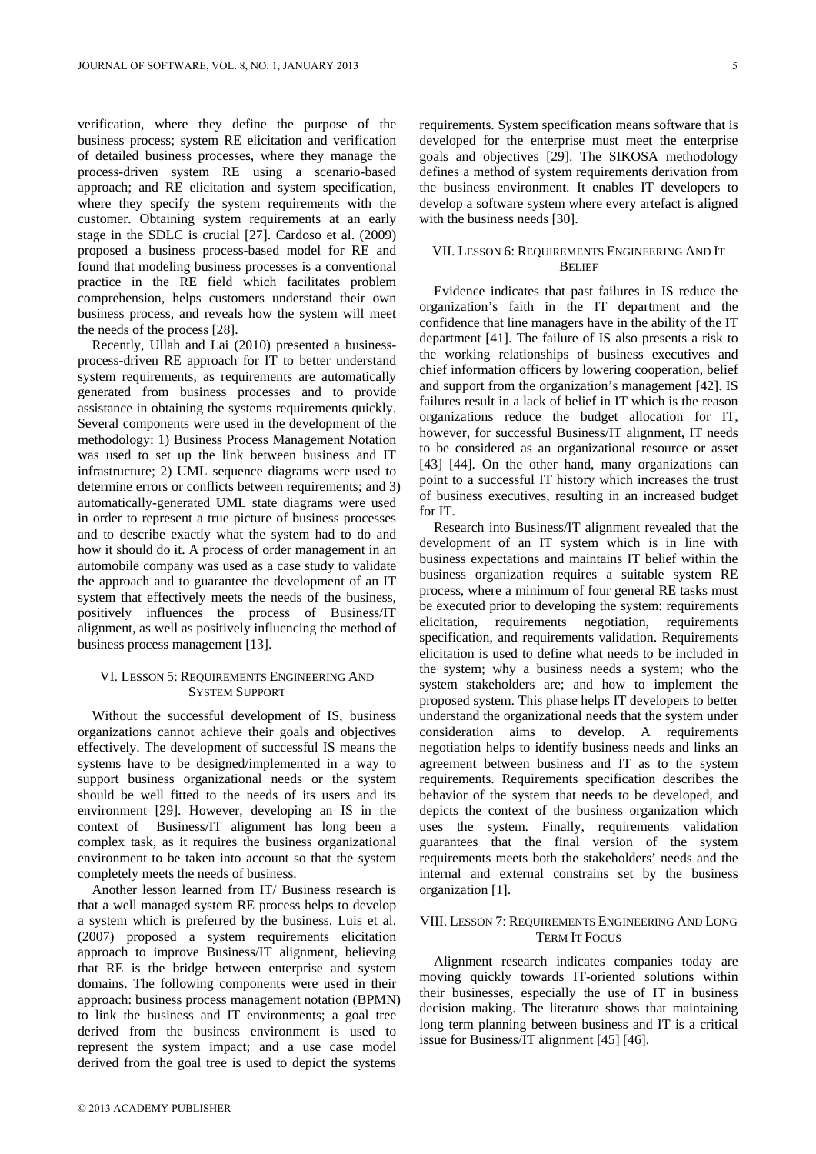verification, where they define the purpose of the business process; system RE elicitation and verification of detailed business processes, where they manage the process-driven system RE using a scenario-based approach; and RE elicitation and system specification, where they specify the system requirements with the customer. Obtaining system requirements at an early stage in the SDLC is crucial [27]. Cardoso et al. (2009) proposed a business process-based model for RE and found that modeling business processes is a conventional practice in the RE field which facilitates problem comprehension, helps customers understand their own business process, and reveals how the system will meet the needs of the process [28].

Recently, Ullah and Lai (2010) presented a businessprocess-driven RE approach for IT to better understand system requirements, as requirements are automatically generated from business processes and to provide assistance in obtaining the systems requirements quickly. Several components were used in the development of the methodology: 1) Business Process Management Notation was used to set up the link between business and IT infrastructure; 2) UML sequence diagrams were used to determine errors or conflicts between requirements; and 3) automatically-generated UML state diagrams were used in order to represent a true picture of business processes and to describe exactly what the system had to do and how it should do it. A process of order management in an automobile company was used as a case study to validate the approach and to guarantee the development of an IT system that effectively meets the needs of the business, positively influences the process of Business/IT alignment, as well as positively influencing the method of business process management [13].

## VI. LESSON 5: REQUIREMENTS ENGINEERING AND SYSTEM SUPPORT

Without the successful development of IS, business organizations cannot achieve their goals and objectives effectively. The development of successful IS means the systems have to be designed/implemented in a way to support business organizational needs or the system should be well fitted to the needs of its users and its environment [29]. However, developing an IS in the context of Business/IT alignment has long been a complex task, as it requires the business organizational environment to be taken into account so that the system completely meets the needs of business.

Another lesson learned from IT/ Business research is that a well managed system RE process helps to develop a system which is preferred by the business. Luis et al. (2007) proposed a system requirements elicitation approach to improve Business/IT alignment, believing that RE is the bridge between enterprise and system domains. The following components were used in their approach: business process management notation (BPMN) to link the business and IT environments; a goal tree derived from the business environment is used to represent the system impact; and a use case model derived from the goal tree is used to depict the systems

requirements. System specification means software that is developed for the enterprise must meet the enterprise goals and objectives [29]. The SIKOSA methodology defines a method of system requirements derivation from the business environment. It enables IT developers to develop a software system where every artefact is aligned with the business needs [30].

## VII. LESSON 6: REQUIREMENTS ENGINEERING AND IT **BELIEF**

Evidence indicates that past failures in IS reduce the organization's faith in the IT department and the confidence that line managers have in the ability of the IT department [41]. The failure of IS also presents a risk to the working relationships of business executives and chief information officers by lowering cooperation, belief and support from the organization's management [42]. IS failures result in a lack of belief in IT which is the reason organizations reduce the budget allocation for IT, however, for successful Business/IT alignment, IT needs to be considered as an organizational resource or asset [43] [44]. On the other hand, many organizations can point to a successful IT history which increases the trust of business executives, resulting in an increased budget for IT.

Research into Business/IT alignment revealed that the development of an IT system which is in line with business expectations and maintains IT belief within the business organization requires a suitable system RE process, where a minimum of four general RE tasks must be executed prior to developing the system: requirements elicitation, requirements negotiation, requirements specification, and requirements validation. Requirements elicitation is used to define what needs to be included in the system; why a business needs a system; who the system stakeholders are; and how to implement the proposed system. This phase helps IT developers to better understand the organizational needs that the system under consideration aims to develop. A requirements negotiation helps to identify business needs and links an agreement between business and IT as to the system requirements. Requirements specification describes the behavior of the system that needs to be developed, and depicts the context of the business organization which uses the system. Finally, requirements validation guarantees that the final version of the system requirements meets both the stakeholders' needs and the internal and external constrains set by the business organization [1].

## VIII. LESSON 7: REQUIREMENTS ENGINEERING AND LONG TERM IT FOCUS

Alignment research indicates companies today are moving quickly towards IT-oriented solutions within their businesses, especially the use of IT in business decision making. The literature shows that maintaining long term planning between business and IT is a critical issue for Business/IT alignment [45] [46].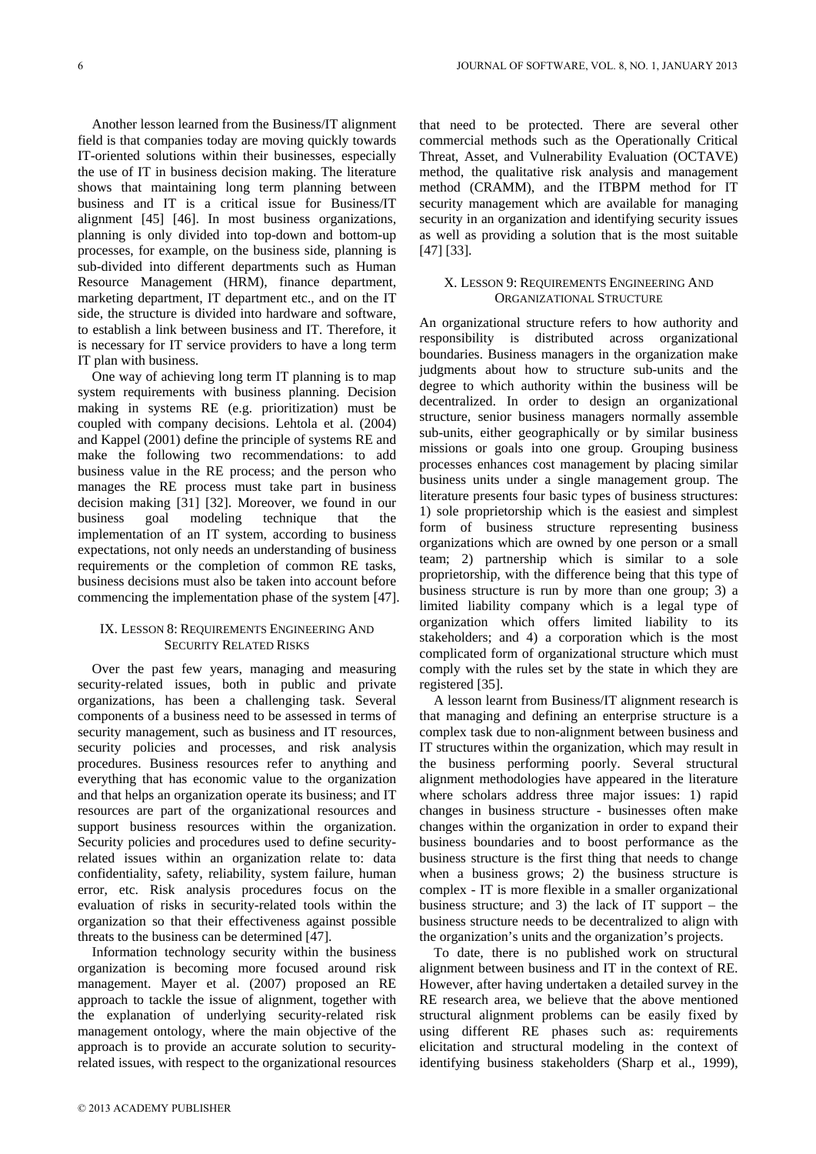Another lesson learned from the Business/IT alignment field is that companies today are moving quickly towards IT-oriented solutions within their businesses, especially the use of IT in business decision making. The literature shows that maintaining long term planning between business and IT is a critical issue for Business/IT alignment [45] [46]. In most business organizations, planning is only divided into top-down and bottom-up processes, for example, on the business side, planning is sub-divided into different departments such as Human Resource Management (HRM), finance department, marketing department, IT department etc., and on the IT side, the structure is divided into hardware and software, to establish a link between business and IT. Therefore, it is necessary for IT service providers to have a long term IT plan with business.

One way of achieving long term IT planning is to map system requirements with business planning. Decision making in systems RE (e.g. prioritization) must be coupled with company decisions. Lehtola et al. (2004) and Kappel (2001) define the principle of systems RE and make the following two recommendations: to add business value in the RE process; and the person who manages the RE process must take part in business decision making [31] [32]. Moreover, we found in our business goal modeling technique that the implementation of an IT system, according to business expectations, not only needs an understanding of business requirements or the completion of common RE tasks, business decisions must also be taken into account before commencing the implementation phase of the system [47].

### IX. LESSON 8: REQUIREMENTS ENGINEERING AND SECURITY RELATED RISKS

Over the past few years, managing and measuring security-related issues, both in public and private organizations, has been a challenging task. Several components of a business need to be assessed in terms of security management, such as business and IT resources, security policies and processes, and risk analysis procedures. Business resources refer to anything and everything that has economic value to the organization and that helps an organization operate its business; and IT resources are part of the organizational resources and support business resources within the organization. Security policies and procedures used to define securityrelated issues within an organization relate to: data confidentiality, safety, reliability, system failure, human error, etc. Risk analysis procedures focus on the evaluation of risks in security-related tools within the organization so that their effectiveness against possible threats to the business can be determined [47].

Information technology security within the business organization is becoming more focused around risk management. Mayer et al. (2007) proposed an RE approach to tackle the issue of alignment, together with the explanation of underlying security-related risk management ontology, where the main objective of the approach is to provide an accurate solution to securityrelated issues, with respect to the organizational resources

that need to be protected. There are several other commercial methods such as the Operationally Critical Threat, Asset, and Vulnerability Evaluation (OCTAVE) method, the qualitative risk analysis and management method (CRAMM), and the ITBPM method for IT security management which are available for managing security in an organization and identifying security issues as well as providing a solution that is the most suitable [47] [33].

## X. LESSON 9: REQUIREMENTS ENGINEERING AND ORGANIZATIONAL STRUCTURE

An organizational structure refers to how authority and responsibility is distributed across organizational boundaries. Business managers in the organization make judgments about how to structure sub-units and the degree to which authority within the business will be decentralized. In order to design an organizational structure, senior business managers normally assemble sub-units, either geographically or by similar business missions or goals into one group. Grouping business processes enhances cost management by placing similar business units under a single management group. The literature presents four basic types of business structures: 1) sole proprietorship which is the easiest and simplest form of business structure representing business organizations which are owned by one person or a small team; 2) partnership which is similar to a sole proprietorship, with the difference being that this type of business structure is run by more than one group; 3) a limited liability company which is a legal type of organization which offers limited liability to its stakeholders; and 4) a corporation which is the most complicated form of organizational structure which must comply with the rules set by the state in which they are registered [35].

A lesson learnt from Business/IT alignment research is that managing and defining an enterprise structure is a complex task due to non-alignment between business and IT structures within the organization, which may result in the business performing poorly. Several structural alignment methodologies have appeared in the literature where scholars address three major issues: 1) rapid changes in business structure - businesses often make changes within the organization in order to expand their business boundaries and to boost performance as the business structure is the first thing that needs to change when a business grows; 2) the business structure is complex - IT is more flexible in a smaller organizational business structure; and 3) the lack of IT support – the business structure needs to be decentralized to align with the organization's units and the organization's projects.

To date, there is no published work on structural alignment between business and IT in the context of RE. However, after having undertaken a detailed survey in the RE research area, we believe that the above mentioned structural alignment problems can be easily fixed by using different RE phases such as: requirements elicitation and structural modeling in the context of identifying business stakeholders (Sharp et al., 1999),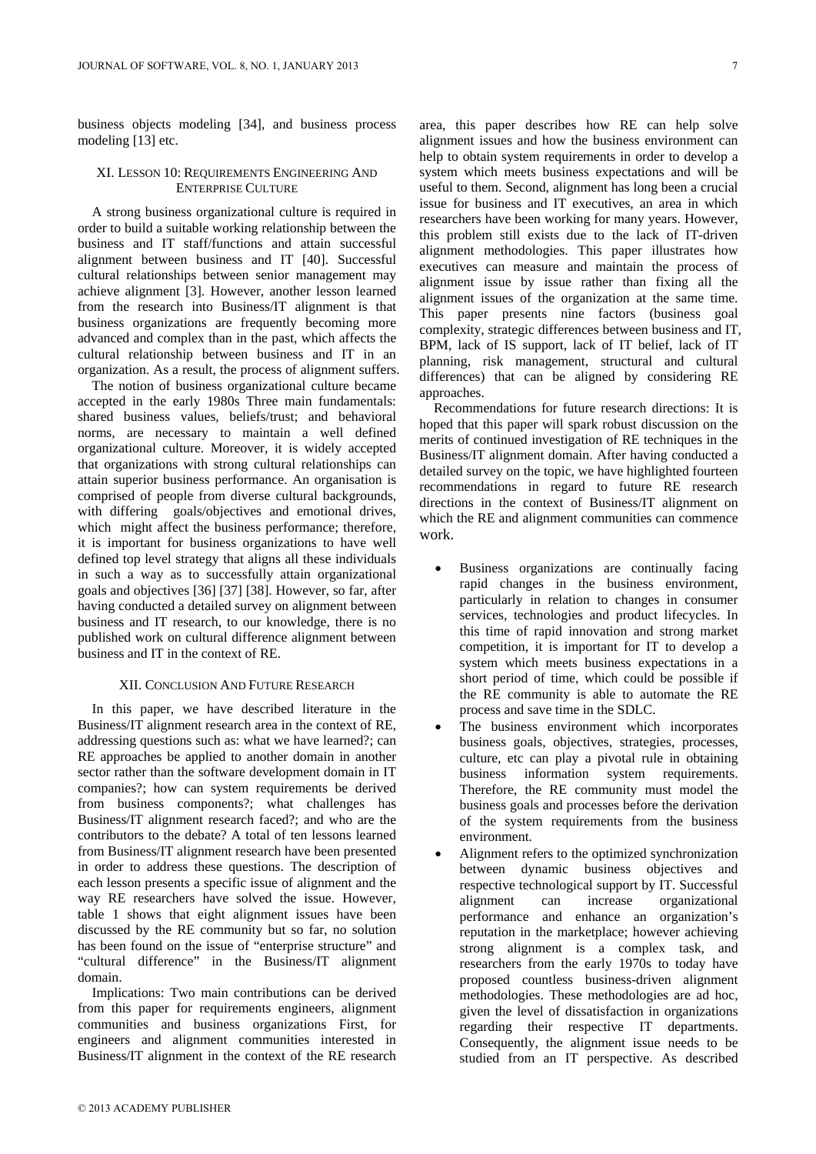business objects modeling [34], and business process modeling [13] etc.

## XI. LESSON 10: REQUIREMENTS ENGINEERING AND ENTERPRISE CULTURE

A strong business organizational culture is required in order to build a suitable working relationship between the business and IT staff/functions and attain successful alignment between business and IT [40]. Successful cultural relationships between senior management may achieve alignment [3]. However, another lesson learned from the research into Business/IT alignment is that business organizations are frequently becoming more advanced and complex than in the past, which affects the cultural relationship between business and IT in an organization. As a result, the process of alignment suffers.

The notion of business organizational culture became accepted in the early 1980s Three main fundamentals: shared business values, beliefs/trust; and behavioral norms, are necessary to maintain a well defined organizational culture. Moreover, it is widely accepted that organizations with strong cultural relationships can attain superior business performance. An organisation is comprised of people from diverse cultural backgrounds, with differing goals/objectives and emotional drives, which might affect the business performance; therefore, it is important for business organizations to have well defined top level strategy that aligns all these individuals in such a way as to successfully attain organizational goals and objectives [36] [37] [38]. However, so far, after having conducted a detailed survey on alignment between business and IT research, to our knowledge, there is no published work on cultural difference alignment between business and IT in the context of RE.

### XII. CONCLUSION AND FUTURE RESEARCH

In this paper, we have described literature in the Business/IT alignment research area in the context of RE, addressing questions such as: what we have learned?; can RE approaches be applied to another domain in another sector rather than the software development domain in IT companies?; how can system requirements be derived from business components?; what challenges has Business/IT alignment research faced?; and who are the contributors to the debate? A total of ten lessons learned from Business/IT alignment research have been presented in order to address these questions. The description of each lesson presents a specific issue of alignment and the way RE researchers have solved the issue. However, table 1 shows that eight alignment issues have been discussed by the RE community but so far, no solution has been found on the issue of "enterprise structure" and "cultural difference" in the Business/IT alignment domain.

Implications: Two main contributions can be derived from this paper for requirements engineers, alignment communities and business organizations First, for engineers and alignment communities interested in Business/IT alignment in the context of the RE research area, this paper describes how RE can help solve alignment issues and how the business environment can help to obtain system requirements in order to develop a system which meets business expectations and will be useful to them. Second, alignment has long been a crucial issue for business and IT executives, an area in which researchers have been working for many years. However, this problem still exists due to the lack of IT-driven alignment methodologies. This paper illustrates how executives can measure and maintain the process of alignment issue by issue rather than fixing all the alignment issues of the organization at the same time. This paper presents nine factors (business goal complexity, strategic differences between business and IT, BPM, lack of IS support, lack of IT belief, lack of IT planning, risk management, structural and cultural differences) that can be aligned by considering RE approaches.

Recommendations for future research directions: It is hoped that this paper will spark robust discussion on the merits of continued investigation of RE techniques in the Business/IT alignment domain. After having conducted a detailed survey on the topic, we have highlighted fourteen recommendations in regard to future RE research directions in the context of Business/IT alignment on which the RE and alignment communities can commence work.

- Business organizations are continually facing rapid changes in the business environment, particularly in relation to changes in consumer services, technologies and product lifecycles. In this time of rapid innovation and strong market competition, it is important for IT to develop a system which meets business expectations in a short period of time, which could be possible if the RE community is able to automate the RE process and save time in the SDLC.
- The business environment which incorporates business goals, objectives, strategies, processes, culture, etc can play a pivotal rule in obtaining business information system requirements. Therefore, the RE community must model the business goals and processes before the derivation of the system requirements from the business environment.
- Alignment refers to the optimized synchronization between dynamic business objectives and respective technological support by IT. Successful alignment can increase organizational performance and enhance an organization's reputation in the marketplace; however achieving strong alignment is a complex task, and researchers from the early 1970s to today have proposed countless business-driven alignment methodologies. These methodologies are ad hoc, given the level of dissatisfaction in organizations regarding their respective IT departments. Consequently, the alignment issue needs to be studied from an IT perspective. As described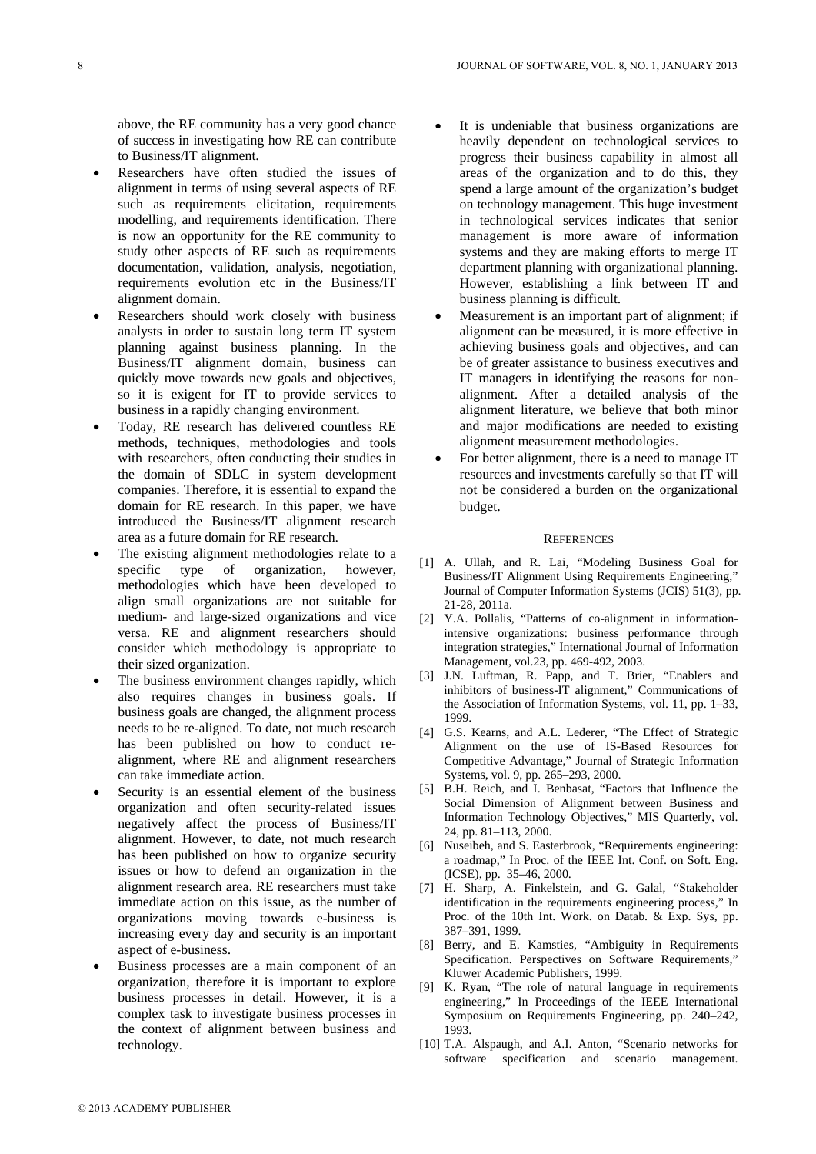above, the RE community has a very good chance of success in investigating how RE can contribute to Business/IT alignment.

- Researchers have often studied the issues of alignment in terms of using several aspects of RE such as requirements elicitation, requirements modelling, and requirements identification. There is now an opportunity for the RE community to study other aspects of RE such as requirements documentation, validation, analysis, negotiation, requirements evolution etc in the Business/IT alignment domain.
- Researchers should work closely with business analysts in order to sustain long term IT system planning against business planning. In the Business/IT alignment domain, business can quickly move towards new goals and objectives, so it is exigent for IT to provide services to business in a rapidly changing environment.
- Today, RE research has delivered countless RE methods, techniques, methodologies and tools with researchers, often conducting their studies in the domain of SDLC in system development companies. Therefore, it is essential to expand the domain for RE research. In this paper, we have introduced the Business/IT alignment research area as a future domain for RE research.
- The existing alignment methodologies relate to a specific type of organization, however, methodologies which have been developed to align small organizations are not suitable for medium- and large-sized organizations and vice versa. RE and alignment researchers should consider which methodology is appropriate to their sized organization.
- The business environment changes rapidly, which also requires changes in business goals. If business goals are changed, the alignment process needs to be re-aligned. To date, not much research has been published on how to conduct realignment, where RE and alignment researchers can take immediate action.
- Security is an essential element of the business organization and often security-related issues negatively affect the process of Business/IT alignment. However, to date, not much research has been published on how to organize security issues or how to defend an organization in the alignment research area. RE researchers must take immediate action on this issue, as the number of organizations moving towards e-business is increasing every day and security is an important aspect of e-business.
- Business processes are a main component of an organization, therefore it is important to explore business processes in detail. However, it is a complex task to investigate business processes in the context of alignment between business and technology.
- It is undeniable that business organizations are heavily dependent on technological services to progress their business capability in almost all areas of the organization and to do this, they spend a large amount of the organization's budget on technology management. This huge investment in technological services indicates that senior management is more aware of information systems and they are making efforts to merge IT department planning with organizational planning. However, establishing a link between IT and business planning is difficult.
- Measurement is an important part of alignment; if alignment can be measured, it is more effective in achieving business goals and objectives, and can be of greater assistance to business executives and IT managers in identifying the reasons for nonalignment. After a detailed analysis of the alignment literature, we believe that both minor and major modifications are needed to existing alignment measurement methodologies.
- For better alignment, there is a need to manage IT resources and investments carefully so that IT will not be considered a burden on the organizational budget.

#### **REFERENCES**

- [1] A. Ullah, and R. Lai, "Modeling Business Goal for Business/IT Alignment Using Requirements Engineering," Journal of Computer Information Systems (JCIS) 51(3), pp. 21-28, 2011a.
- [2] Y.A. Pollalis, "Patterns of co-alignment in informationintensive organizations: business performance through integration strategies," International Journal of Information Management, vol.23, pp. 469-492, 2003.
- [3] J.N. Luftman, R. Papp, and T. Brier, "Enablers and inhibitors of business-IT alignment," Communications of the Association of Information Systems, vol. 11, pp. 1–33, 1999.
- [4] G.S. Kearns, and A.L. Lederer, "The Effect of Strategic Alignment on the use of IS-Based Resources for Competitive Advantage," Journal of Strategic Information Systems, vol. 9, pp. 265–293, 2000.
- [5] B.H. Reich, and I. Benbasat, "Factors that Influence the Social Dimension of Alignment between Business and Information Technology Objectives," MIS Quarterly, vol. 24, pp. 81–113, 2000.
- [6] Nuseibeh, and S. Easterbrook, "Requirements engineering: a roadmap," In Proc. of the IEEE Int. Conf. on Soft. Eng. (ICSE), pp. 35–46, 2000.
- [7] H. Sharp, A. Finkelstein, and G. Galal, "Stakeholder identification in the requirements engineering process," In Proc. of the 10th Int. Work. on Datab. & Exp. Sys, pp. 387–391, 1999.
- [8] Berry, and E. Kamsties, "Ambiguity in Requirements Specification. Perspectives on Software Requirements," Kluwer Academic Publishers, 1999.
- [9] K. Ryan, "The role of natural language in requirements engineering," In Proceedings of the IEEE International Symposium on Requirements Engineering, pp. 240–242, 1993.
- [10] T.A. Alspaugh, and A.I. Anton, "Scenario networks for software specification and scenario management.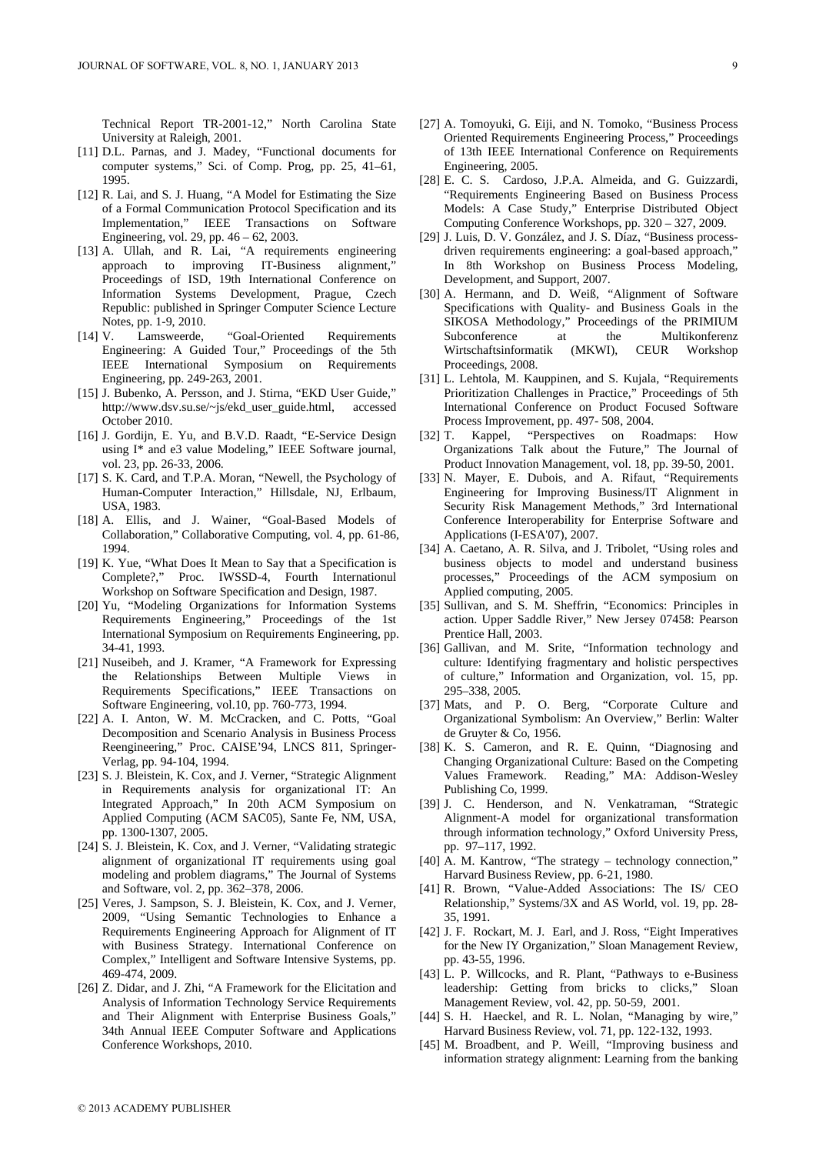Technical Report TR-2001-12," North Carolina State University at Raleigh, 2001.

- [11] D.L. Parnas, and J. Madey, "Functional documents for computer systems," Sci. of Comp. Prog, pp. 25, 41–61, 1995.
- [12] R. Lai, and S. J. Huang, "A Model for Estimating the Size of a Formal Communication Protocol Specification and its Implementation," IEEE Transactions on Software Engineering, vol. 29, pp. 46 – 62, 2003.
- [13] A. Ullah, and R. Lai, "A requirements engineering approach to improving IT-Business alignment," Proceedings of ISD, 19th International Conference on Information Systems Development, Prague, Czech Republic: published in Springer Computer Science Lecture Notes, pp. 1-9, 2010.
- [14] V. Lamsweerde, "Goal-Oriented Requirements Engineering: A Guided Tour," Proceedings of the 5th IEEE International Symposium on Requirements Engineering, pp. 249-263, 2001.
- [15] J. Bubenko, A. Persson, and J. Stirna, "EKD User Guide," http://www.dsv.su.se/~js/ekd\_user\_guide.html, accessed October 2010.
- [16] J. Gordijn, E. Yu, and B.V.D. Raadt, "E-Service Design using I\* and e3 value Modeling," IEEE Software journal, vol. 23, pp. 26-33, 2006.
- [17] S. K. Card, and T.P.A. Moran, "Newell, the Psychology of Human-Computer Interaction," Hillsdale, NJ, Erlbaum, USA, 1983.
- [18] A. Ellis, and J. Wainer, "Goal-Based Models of Collaboration," Collaborative Computing, vol. 4, pp. 61-86, 1994.
- [19] K. Yue, "What Does It Mean to Say that a Specification is Complete?," Proc. IWSSD-4, Fourth Internationul Workshop on Software Specification and Design, 1987.
- [20] Yu, "Modeling Organizations for Information Systems Requirements Engineering," Proceedings of the 1st International Symposium on Requirements Engineering, pp. 34-41, 1993.
- [21] Nuseibeh, and J. Kramer, "A Framework for Expressing the Relationships Between Multiple Views in Requirements Specifications," IEEE Transactions on Software Engineering, vol.10, pp. 760-773, 1994.
- [22] A. I. Anton, W. M. McCracken, and C. Potts, "Goal Decomposition and Scenario Analysis in Business Process Reengineering," Proc. CAISE'94, LNCS 811, Springer-Verlag, pp. 94-104, 1994.
- [23] S. J. Bleistein, K. Cox, and J. Verner, "Strategic Alignment in Requirements analysis for organizational IT: An Integrated Approach," In 20th ACM Symposium on Applied Computing (ACM SAC05), Sante Fe, NM, USA, pp. 1300-1307, 2005.
- [24] S. J. Bleistein, K. Cox, and J. Verner, "Validating strategic alignment of organizational IT requirements using goal modeling and problem diagrams," The Journal of Systems and Software, vol. 2, pp. 362–378, 2006.
- [25] Veres, J. Sampson, S. J. Bleistein, K. Cox, and J. Verner, 2009, "Using Semantic Technologies to Enhance a Requirements Engineering Approach for Alignment of IT with Business Strategy. International Conference on Complex," Intelligent and Software Intensive Systems, pp. 469-474, 2009.
- [26] Z. Didar, and J. Zhi, "A Framework for the Elicitation and Analysis of Information Technology Service Requirements and Their Alignment with Enterprise Business Goals," 34th Annual IEEE Computer Software and Applications Conference Workshops, 2010.
- [27] A. Tomoyuki, G. Eiji, and N. Tomoko, "Business Process" Oriented Requirements Engineering Process," Proceedings of 13th IEEE International Conference on Requirements Engineering, 2005.
- [28] E. C. S. Cardoso, J.P.A. Almeida, and G. Guizzardi, "Requirements Engineering Based on Business Process Models: A Case Study," Enterprise Distributed Object Computing Conference Workshops, pp. 320 – 327, 2009.
- [29] J. Luis, D. V. González, and J. S. Díaz, "Business processdriven requirements engineering: a goal-based approach," In 8th Workshop on Business Process Modeling, Development, and Support, 2007.
- [30] A. Hermann, and D. Weiß, "Alignment of Software Specifications with Quality- and Business Goals in the SIKOSA Methodology," Proceedings of the PRIMIUM Subconference at the Multikonferenz Wirtschaftsinformatik (MKWI), CEUR Workshop Proceedings, 2008.
- [31] L. Lehtola, M. Kauppinen, and S. Kujala, "Requirements Prioritization Challenges in Practice," Proceedings of 5th International Conference on Product Focused Software Process Improvement, pp. 497- 508, 2004.
- [32] T. Kappel, "Perspectives on Roadmaps: How Organizations Talk about the Future," The Journal of Product Innovation Management, vol. 18, pp. 39-50, 2001.
- [33] N. Mayer, E. Dubois, and A. Rifaut, "Requirements Engineering for Improving Business/IT Alignment in Security Risk Management Methods," 3rd International Conference Interoperability for Enterprise Software and Applications (I-ESA'07), 2007.
- [34] A. Caetano, A. R. Silva, and J. Tribolet, "Using roles and business objects to model and understand business processes," Proceedings of the ACM symposium on Applied computing, 2005.
- [35] Sullivan, and S. M. Sheffrin, "Economics: Principles in action. Upper Saddle River," New Jersey 07458: Pearson Prentice Hall, 2003.
- [36] Gallivan, and M. Srite, "Information technology and culture: Identifying fragmentary and holistic perspectives of culture," Information and Organization, vol. 15, pp. 295–338, 2005.
- [37] Mats, and P. O. Berg, "Corporate Culture and Organizational Symbolism: An Overview," Berlin: Walter de Gruyter & Co, 1956.
- [38] K. S. Cameron, and R. E. Quinn, "Diagnosing and Changing Organizational Culture: Based on the Competing Values Framework. Reading," MA: Addison-Wesley Publishing Co, 1999.
- [39] J. C. Henderson, and N. Venkatraman, "Strategic Alignment-A model for organizational transformation through information technology," Oxford University Press, pp. 97–117, 1992.
- [40] A. M. Kantrow, "The strategy technology connection," Harvard Business Review, pp. 6-21, 1980.
- [41] R. Brown, "Value-Added Associations: The IS/ CEO Relationship," Systems/3X and AS World, vol. 19, pp. 28- 35, 1991.
- [42] J. F. Rockart, M. J. Earl, and J. Ross, "Eight Imperatives for the New IY Organization," Sloan Management Review, pp. 43-55, 1996.
- [43] L. P. Willcocks, and R. Plant, "Pathways to e-Business leadership: Getting from bricks to clicks," Sloan Management Review, vol. 42, pp. 50-59, 2001.
- [44] S. H. Haeckel, and R. L. Nolan, "Managing by wire," Harvard Business Review, vol. 71, pp. 122-132, 1993.
- [45] M. Broadbent, and P. Weill, "Improving business and information strategy alignment: Learning from the banking